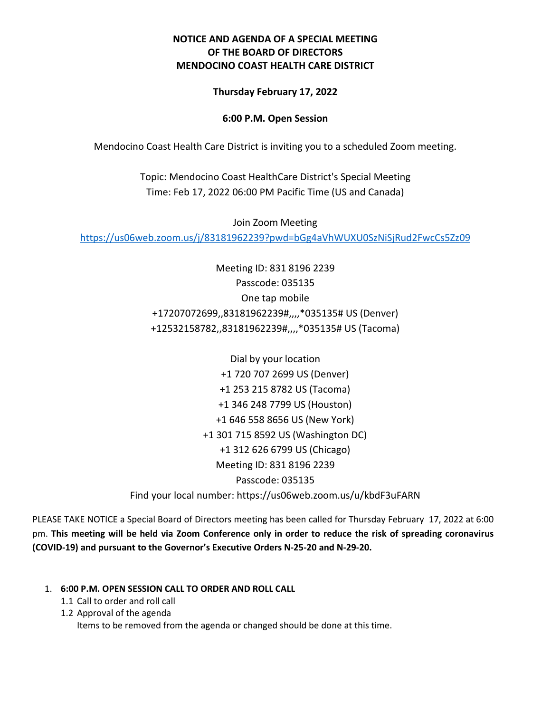# **NOTICE AND AGENDA OF A SPECIAL MEETING OF THE BOARD OF DIRECTORS MENDOCINO COAST HEALTH CARE DISTRICT**

## **Thursday February 17, 2022**

## **6:00 P.M. Open Session**

Mendocino Coast Health Care District is inviting you to a scheduled Zoom meeting.

Topic: Mendocino Coast HealthCare District's Special Meeting Time: Feb 17, 2022 06:00 PM Pacific Time (US and Canada)

Join Zoom Meeting

<https://us06web.zoom.us/j/83181962239?pwd=bGg4aVhWUXU0SzNiSjRud2FwcCs5Zz09>

Meeting ID: 831 8196 2239 Passcode: 035135 One tap mobile +17207072699,,83181962239#,,,,\*035135# US (Denver) +12532158782,,83181962239#,,,,\*035135# US (Tacoma)

Dial by your location +1 720 707 2699 US (Denver) +1 253 215 8782 US (Tacoma) +1 346 248 7799 US (Houston) +1 646 558 8656 US (New York) +1 301 715 8592 US (Washington DC) +1 312 626 6799 US (Chicago) Meeting ID: 831 8196 2239 Passcode: 035135 Find your local number: https://us06web.zoom.us/u/kbdF3uFARN

PLEASE TAKE NOTICE a Special Board of Directors meeting has been called for Thursday February 17, 2022 at 6:00 pm. **This meeting will be held via Zoom Conference only in order to reduce the risk of spreading coronavirus (COVID-19) and pursuant to the Governor's Executive Orders N-25-20 and N-29-20.** 

### 1. **6:00 P.M. OPEN SESSION CALL TO ORDER AND ROLL CALL**

- 1.1 Call to order and roll call
- 1.2 Approval of the agenda

Items to be removed from the agenda or changed should be done at this time.